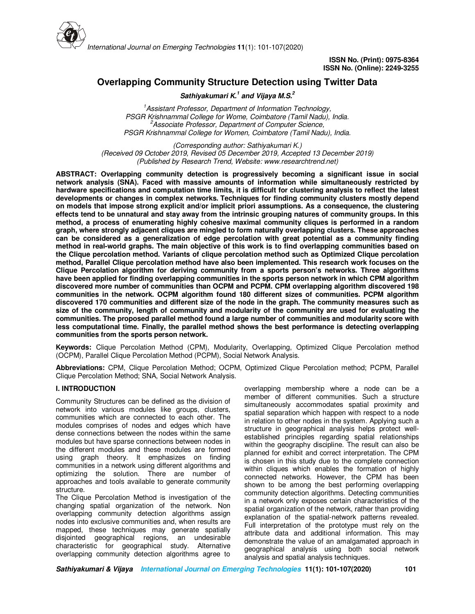

# **Overlapping Community Structure Detection using Twitter Data**

## **Sathiyakumari K.<sup>1</sup> and Vijaya M.S.<sup>2</sup>**

*<sup>1</sup>Assistant Professor, Department of Information Technology, PSGR Krishnammal College for Wome, Coimbatore (Tamil Nadu), India. <sup>2</sup>Associate Professor, Department of Computer Science, PSGR Krishnammal College for Women, Coimbatore (Tamil Nadu), India.* 

*(Corresponding author: Sathiyakumari K.) (Received 09 October 2019, Revised 05 December 2019, Accepted 13 December 2019) (Published by Research Trend, Website: www.researchtrend.net)*

**ABSTRACT: Overlapping community detection is progressively becoming a significant issue in social network analysis (SNA). Faced with massive amounts of information while simultaneously restricted by hardware specifications and computation time limits, it is difficult for clustering analysis to reflect the latest developments or changes in complex networks. Techniques for finding community clusters mostly depend on models that impose strong explicit and/or implicit priori assumptions. As a consequence, the clustering effects tend to be unnatural and stay away from the intrinsic grouping natures of community groups. In this method, a process of enumerating highly cohesive maximal community cliques is performed in a random graph, where strongly adjacent cliques are mingled to form naturally overlapping clusters. These approaches can be considered as a generalization of edge percolation with great potential as a community finding method in real-world graphs. The main objective of this work is to find overlapping communities based on the Clique percolation method. Variants of clique percolation method such as Optimized Clique percolation method, Parallel Clique percolation method have also been implemented. This research work focuses on the Clique Percolation algorithm for deriving community from a sports person's networks. Three algorithms have been applied for finding overlapping communities in the sports person network in which CPM algorithm discovered more number of communities than OCPM and PCPM. CPM overlapping algorithm discovered 198 communities in the network. OCPM algorithm found 180 different sizes of communities. PCPM algorithm discovered 170 communities and different size of the node in the graph. The community measures such as size of the community, length of community and modularity of the community are used for evaluating the communities. The proposed parallel method found a large number of communities and modularity score with less computational time. Finally, the parallel method shows the best performance is detecting overlapping communities from the sports person network.** 

**Keywords:** Clique Percolation Method (CPM), Modularity, Overlapping, Optimized Clique Percolation method (OCPM), Parallel Clique Percolation Method (PCPM), Social Network Analysis.

**Abbreviations:** CPM, Clique Percolation Method; OCPM, Optimized Clique Percolation method; PCPM, Parallel Clique Percolation Method; SNA, Social Network Analysis.

## **I. INTRODUCTION**

Community Structures can be defined as the division of network into various modules like groups, clusters, communities which are connected to each other. The modules comprises of nodes and edges which have dense connections between the nodes within the same modules but have sparse connections between nodes in the different modules and these modules are formed using graph theory. It emphasizes on finding communities in a network using different algorithms and optimizing the solution. There are number of approaches and tools available to generate community structure.

The Clique Percolation Method is investigation of the changing spatial organization of the network. Non overlapping community detection algorithms assign nodes into exclusive communities and, when results are mapped, these techniques may generate spatially disjointed geographical regions, an undesirable characteristic for geographical study. Alternative overlapping community detection algorithms agree to

overlapping membership where a node can be a member of different communities. Such a structure simultaneously accommodates spatial proximity and spatial separation which happen with respect to a node in relation to other nodes in the system. Applying such a structure in geographical analysis helps protect wellestablished principles regarding spatial relationships within the geography discipline. The result can also be planned for exhibit and correct interpretation. The CPM is chosen in this study due to the complete connection within cliques which enables the formation of highly connected networks. However, the CPM has been shown to be among the best performing overlapping community detection algorithms. Detecting communities in a network only exposes certain characteristics of the spatial organization of the network, rather than providing explanation of the spatial-network patterns revealed. Full interpretation of the prototype must rely on the attribute data and additional information. This may demonstrate the value of an amalgamated approach in geographical analysis using both social network analysis and spatial analysis techniques.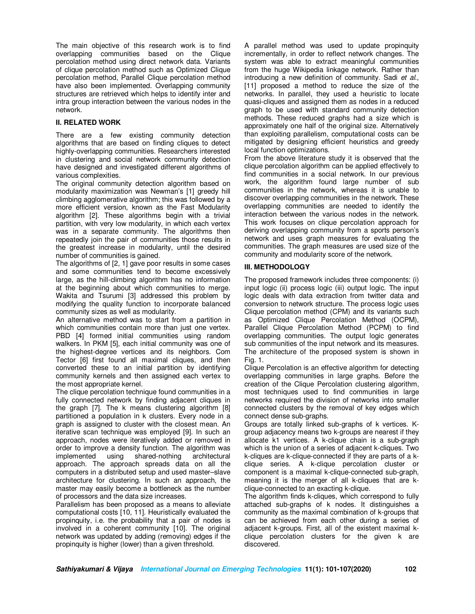The main objective of this research work is to find overlapping communities based on the Clique percolation method using direct network data. Variants of clique percolation method such as Optimized Clique percolation method, Parallel Clique percolation method have also been implemented. Overlapping community structures are retrieved which helps to identify inter and intra group interaction between the various nodes in the network.

## **II. RELATED WORK**

There are a few existing community detection algorithms that are based on finding cliques to detect highly-overlapping communities. Researchers interested in clustering and social network community detection have designed and investigated different algorithms of various complexities.

The original community detection algorithm based on modularity maximization was Newman's [1] greedy hill climbing agglomerative algorithm; this was followed by a more efficient version, known as the Fast Modularity algorithm [2]. These algorithms begin with a trivial partition, with very low modularity, in which each vertex was in a separate community. The algorithms then repeatedly join the pair of communities those results in the greatest increase in modularity, until the desired number of communities is gained.

The algorithms of [2, 1] gave poor results in some cases and some communities tend to become excessively large, as the hill-climbing algorithm has no information at the beginning about which communities to merge. Wakita and Tsurumi [3] addressed this problem by modifying the quality function to incorporate balanced community sizes as well as modularity.

An alternative method was to start from a partition in which communities contain more than just one vertex. PBD [4] formed initial communities using random walkers. In PKM [5], each initial community was one of the highest-degree vertices and its neighbors. Com Tector [6] first found all maximal cliques, and then converted these to an initial partition by identifying community kernels and then assigned each vertex to the most appropriate kernel.

The clique percolation technique found communities in a fully connected network by finding adjacent cliques in the graph [7]. The k means clustering algorithm [8] partitioned a population in k clusters. Every node in a graph is assigned to cluster with the closest mean. An iterative scan technique was employed [9]. In such an approach, nodes were iteratively added or removed in order to improve a density function. The algorithm was implemented using shared-nothing architectural approach. The approach spreads data on all the computers in a distributed setup and used master–slave architecture for clustering. In such an approach, the master may easily become a bottleneck as the number of processors and the data size increases.

Parallelism has been proposed as a means to alleviate computational costs [10, 11]. Heuristically evaluated the propinquity, i.e. the probability that a pair of nodes is involved in a coherent community [10]. The original network was updated by adding (removing) edges if the propinquity is higher (lower) than a given threshold.

A parallel method was used to update propinquity incrementally, in order to reflect network changes. The system was able to extract meaningful communities from the huge Wikipedia linkage network. Rather than introducing a new definition of community. Sadi *et al.*, [11] proposed a method to reduce the size of the networks. In parallel, they used a heuristic to locate quasi-cliques and assigned them as nodes in a reduced graph to be used with standard community detection methods. These reduced graphs had a size which is approximately one half of the original size. Alternatively than exploiting parallelism, computational costs can be mitigated by designing efficient heuristics and greedy local function optimizations.

From the above literature study it is observed that the clique percolation algorithm can be applied effectively to find communities in a social network. In our previous work, the algorithm found large number of sub communities in the network, whereas it is unable to discover overlapping communities in the network. These overlapping communities are needed to identify the interaction between the various nodes in the network. This work focuses on clique percolation approach for deriving overlapping community from a sports person's network and uses graph measures for evaluating the communities. The graph measures are used size of the community and modularity score of the network.

## **III. METHODOLOGY**

The proposed framework includes three components: (i) input logic (ii) process logic (iii) output logic. The input logic deals with data extraction from twitter data and conversion to network structure. The process logic uses Clique percolation method (CPM) and its variants such as Optimized Clique Percolation Method (OCPM), Parallel Clique Percolation Method (PCPM) to find overlapping communities. The output logic generates sub communities of the input network and its measures. The architecture of the proposed system is shown in Fig. 1.

Clique Percolation is an effective algorithm for detecting overlapping communities in large graphs. Before the creation of the Clique Percolation clustering algorithm, most techniques used to find communities in large networks required the division of networks into smaller connected clusters by the removal of key edges which connect dense sub-graphs.

Groups are totally linked sub-graphs of k vertices. Kgroup adjacency means two k-groups are nearest if they allocate k1 vertices. A k-clique chain is a sub-graph which is the union of a series of adjacent k-cliques. Two k-cliques are k-clique-connected if they are parts of a kclique series. A k-clique percolation cluster or component is a maximal k-clique-connected sub-graph, meaning it is the merger of all k-cliques that are kclique-connected to an exacting k-clique.

The algorithm finds k-cliques, which correspond to fully attached sub-graphs of k nodes. It distinguishes a community as the maximal combination of k-groups that can be achieved from each other during a series of adjacent k-groups. First, all of the existent maximal kclique percolation clusters for the given k are discovered.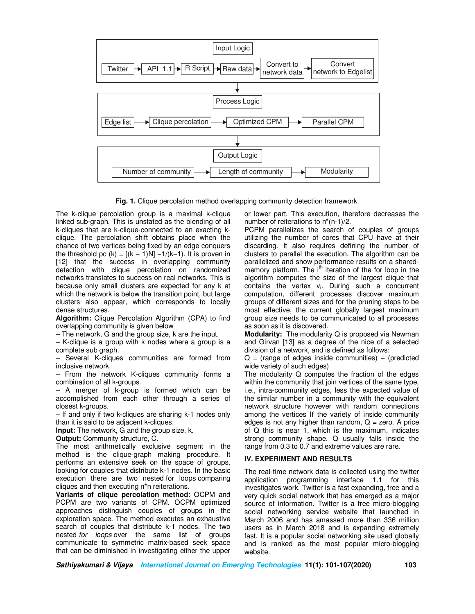

**Fig. 1.** Clique percolation method overlapping community detection framework.

The k-clique percolation group is a maximal k-clique linked sub-graph. This is unstated as the blending of all k-cliques that are k-clique-connected to an exacting kclique. The percolation shift obtains place when the chance of two vertices being fixed by an edge conquers the threshold pc  $(k) = [(k - 1)N] - 1/(k-1)$ . It is proven in [12] that the success in overlapping community detection with clique percolation on randomized networks translates to success on real networks. This is because only small clusters are expected for any k at which the network is below the transition point, but large clusters also appear, which corresponds to locally dense structures.

**Algorithm:** Clique Percolation Algorithm (CPA) to find overlapping community is given below

– The network, G and the group size, k are the input.

– K-clique is a group with k nodes where a group is a complete sub graph.

– Several K-cliques communities are formed from inclusive network.

– From the network K-cliques community forms a combination of all k-groups.

– A merger of k-group is formed which can be accomplished from each other through a series of closest k-groups.

– If and only if two k-cliques are sharing k-1 nodes only than it is said to be adjacent k-cliques.

**Input:** The network, G and the group size, k.

**Output:** Community structure, C.

The most arithmetically exclusive segment in the method is the clique-graph making procedure. It performs an extensive seek on the space of groups, looking for couples that distribute k-1 nodes. In the basic execution there are two nested for loops comparing cliques and then executing n\*n reiterations.

**Variants of clique percolation method:** OCPM and PCPM are two variants of CPM. OCPM optimized approaches distinguish couples of groups in the exploration space. The method executes an exhaustive search of couples that distribute k-1 nodes. The two nested *for loops* over the same list of groups communicate to symmetric matrix-based seek space that can be diminished in investigating either the upper

or lower part. This execution, therefore decreases the number of reiterations to n\*(n-1)/2.

PCPM parallelizes the search of couples of groups utilizing the number of cores that CPU have at their discarding. It also requires defining the number of clusters to parallel the execution. The algorithm can be parallelized and show performance results on a sharedmemory platform. The i<sup>th</sup> iteration of the for loop in the algorithm computes the size of the largest clique that contains the vertex v<sub>i</sub>. During such a concurrent computation, different processes discover maximum groups of different sizes and for the pruning steps to be most effective, the current globally largest maximum group size needs to be communicated to all processes as soon as it is discovered.

**Modularity:** The modularity Q is proposed via Newman and Girvan [13] as a degree of the nice of a selected division of a network, and is defined as follows:

 $Q = (range of edges inside communities) - (predicted)$ wide variety of such edges)

The modularity Q computes the fraction of the edges within the community that join vertices of the same type, i.e., intra-community edges, less the expected value of the similar number in a community with the equivalent network structure however with random connections among the vertices If the variety of inside community edges is not any higher than random,  $Q =$  zero. A price of Q this is near 1, which is the maximum, indicates strong community shape. Q usually falls inside the range from 0.3 to 0.7 and extreme values are rare.

## **IV. EXPERIMENT AND RESULTS**

The real-time network data is collected using the twitter application programming interface 1.1 for this investigates work. Twitter is a fast expanding, free and a very quick social network that has emerged as a major source of information. Twitter is a free micro-blogging social networking service website that launched in March 2006 and has amassed more than 336 million users as in March 2018 and is expanding extremely fast. It is a popular social networking site used globally and is ranked as the most popular micro-blogging website.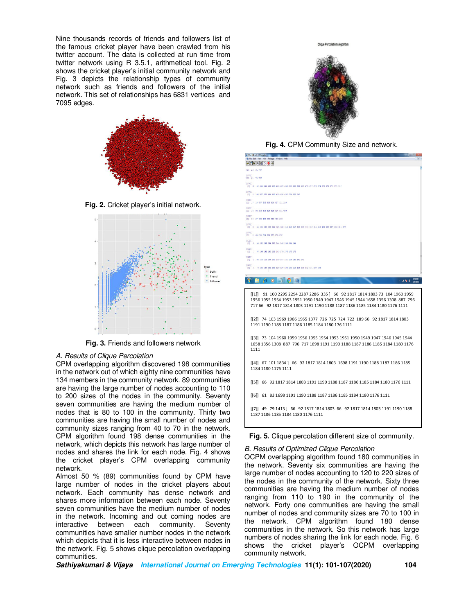Nine thousands records of friends and followers list of the famous cricket player have been crawled from his twitter account. The data is collected at run time from twitter network using R 3.5.1, arithmetical tool. Fig. 2 shows the cricket player's initial community network and Fig. 3 depicts the relationship types of community network such as friends and followers of the initial network. This set of relationships has 6831 vertices and 7095 edges.



**Fig. 2.** Cricket player's initial network.



**Fig. 3.** Friends and followers network

#### *A. Results of Clique Percolation*

CPM overlapping algorithm discovered 198 communities in the network out of which eighty nine communities have 134 members in the community network. 89 communities are having the large number of nodes accounting to 110 to 200 sizes of the nodes in the community. Seventy seven communities are having the medium number of nodes that is 80 to 100 in the community. Thirty two communities are having the small number of nodes and community sizes ranging from 40 to 70 in the network. CPM algorithm found 198 dense communities in the network, which depicts this network has large number of nodes and shares the link for each node. Fig. 4 shows the cricket player's CPM overlapping community network.

Almost 50 % (89) communities found by CPM have large number of nodes in the cricket players about network. Each community has dense network and shares more information between each node. Seventy seven communities have the medium number of nodes in the network. Incoming and out coming nodes are interactive between each community. Seventy communities have smaller number nodes in the network which depicts that it is less interactive between nodes in the network. Fig. 5 shows clique percolation overlapping communities.



**Fig. 4.** CPM Community Size and network.

| R RGui (64-bit) - [R Console]                                                                                                                                                                                                               |         |
|---------------------------------------------------------------------------------------------------------------------------------------------------------------------------------------------------------------------------------------------|---------|
| R Fie Edit View Misc Packages Windows Help<br><b>BIGHEDOO</b>                                                                                                                                                                               | $-01$   |
| $[1]$ 22 31 737                                                                                                                                                                                                                             |         |
| [113]<br>$[1]$ 21 78 707                                                                                                                                                                                                                    |         |
| [114]<br>[1] 20 42 695 694 692 690 689 687 686 685 683 682 680 679 677 676 674 673 672 671 371 137                                                                                                                                          |         |
| 111511<br>[1] 19 100 667 666 664 660 659 658 655 654 652 646                                                                                                                                                                                |         |
| [ (16] )<br>[1] 17 18 607 606 605 604 597 321 210                                                                                                                                                                                           |         |
| 111711<br>[1] 14 96 526 525 524 518 514 501 499                                                                                                                                                                                             |         |
| 101811<br>[1] 13 27 493 492 490 486 485 250                                                                                                                                                                                                 |         |
| [119]<br>[1] 11 55 435 439 430 426 425 422 419 418 417 416 415 414 412 411 410 409 409 409 405 377                                                                                                                                          |         |
| 112011<br>[1] 4 68 295 293 286 279 273 272                                                                                                                                                                                                  |         |
| $[$ [21]]<br>[1] 5 54 262 259 256 252 244 242 239 234 144                                                                                                                                                                                   |         |
| [ [22] ]<br>3 37 196 197 190 188 183 179 176 175 172<br>(1)                                                                                                                                                                                 |         |
| [ [23] ]<br>2 88 168 166 164 160 159 157 155 154 148 145 143<br>(11)                                                                                                                                                                        |         |
| [ [24] ]<br>1 9 135 134 131 130 129 127 126 120 119 118 113 112 111 107 106<br>(11)                                                                                                                                                         |         |
| Ω<br>o<br>化油脂膏                                                                                                                                                                                                                              | 8:39 PM |
| [[1]] 91 100 2295 2294 2287 2286 335 ] 66 92 1817 1814 1803 73 104 1960 1959<br>1956 1955 1954 1953 1951 1950 1949 1947 1946 1945 1944 1658 1356 1308 887 796<br>717 66 92 1817 1814 1803 1191 1190 1188 1187 1186 1185 1184 1180 1176 1111 |         |
| [[2]] 74 103 1969 1966 1965 1377 726 725 724 722 189 66 92 1817 1814 1803<br>1191 1190 1188 1187 1186 1185 1184 1180 176 1111                                                                                                               |         |
| [[3]] 73 104 1960 1959 1956 1955 1954 1953 1951 1950 1949 1947 1946 1945 1944<br>1658 1356 1308 887 796 717 1698 1191 1190 1188 1187 1186 1185 1184 1180 1176<br>1111                                                                       |         |
| [[4]] 67 101 1834 ] 66 92 1817 1814 1803 1698 1191 1190 1188 1187 1186 1185<br>1184 1180 1176 1111                                                                                                                                          |         |
| [[5]] 66 92 1817 1814 1803 1191 1190 1188 1187 1186 1185 1184 1180 1176 1111                                                                                                                                                                |         |
| [[6]] 61 83 1698 1191 1190 1188 1187 1186 1185 1184 1180 1176 1111                                                                                                                                                                          |         |
| [[7]] 49 79 1413 ] 66 92 1817 1814 1803 66 92 1817 1814 1803 1191 1190 1188<br>1187 1186 1185 1184 1180 1176 1111                                                                                                                           |         |
|                                                                                                                                                                                                                                             |         |

**Fig. 5.** Clique percolation different size of community.

#### *B. Results of Optimized Clique Percolation*

OCPM overlapping algorithm found 180 communities in the network. Seventy six communities are having the large number of nodes accounting to 120 to 220 sizes of the nodes in the community of the network. Sixty three communities are having the medium number of nodes ranging from 110 to 190 in the community of the network. Forty one communities are having the small number of nodes and community sizes are 70 to 100 in the network. CPM algorithm found 180 dense communities in the network. So this network has large numbers of nodes sharing the link for each node. Fig. 6 shows the cricket player's OCPM overlapping community network.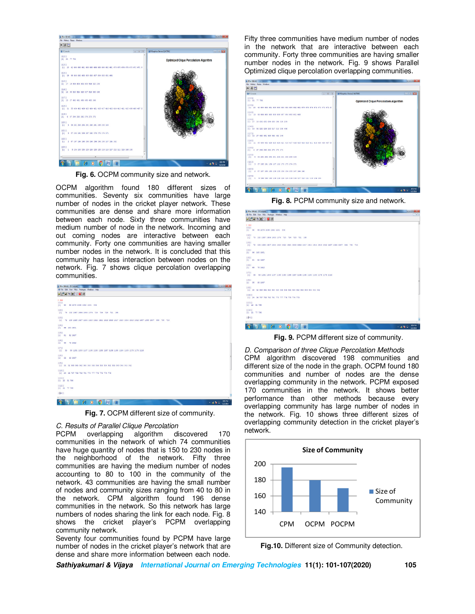

**Fig. 6.** OCPM community size and network.

OCPM algorithm found 180 different sizes of communities. Seventy six communities have large number of nodes in the cricket player network. These communities are dense and share more information between each node. Sixty three communities have medium number of node in the network. Incoming and out coming nodes are interactive between each community. Forty one communities are having smaller number nodes in the network. It is concluded that this community has less interaction between nodes on the network. Fig. 7 shows clique percolation overlapping communities.

| RGui (54-bit) - (R Console)                                                                            | <b>COMPANY</b>                |
|--------------------------------------------------------------------------------------------------------|-------------------------------|
| IR File Edit View Misc Packages Windows Help                                                           | $-0x$                         |
| <b>BARREDO</b>                                                                                         |                               |
|                                                                                                        |                               |
| >768<br>(1111)                                                                                         |                               |
| [1] 90 99 2270 2269 2262 2261 334                                                                      |                               |
| (12)1<br><b><i>Charles Company</i></b>                                                                 |                               |
| [1] 73 102 1937 1934 1933 1976 725 724 723 721 188                                                     |                               |
| [1311]                                                                                                 |                               |
| [1] 72 103 1928 1927 1924 1923 1922 1921 1919 1918 1917 1915 1914 1913 1912 1657 1355 1307 886 795 716 |                               |
| 00411                                                                                                  |                               |
| (11 66 100 1801                                                                                        |                               |
| [1511]                                                                                                 |                               |
| (11 61 52 1697                                                                                         |                               |
| $(16)$ ]                                                                                               |                               |
| $[1]$ $[49$ 78 1412                                                                                    |                               |
| (1711                                                                                                  |                               |
| 111 39 50 1201 1200 1197 1193 1190 1189 1187 1186 1185 1184 1185 1179 1175 1110                        |                               |
| 11811                                                                                                  |                               |
| $[1]$ 35 38 1097                                                                                       |                               |
| [19]                                                                                                   |                               |
| [1] 30 92 969 965 962 960 959 958 956 955 954 952 950 949 946 943 942                                  |                               |
| 111011                                                                                                 |                               |
| [1] 24 36 797 793 792 791 778 777 776 775 774 773                                                      |                               |
| [1111]<br>[1] 22 31 736                                                                                |                               |
|                                                                                                        |                               |
| (112)<br>$[1]$ 21 77 706                                                                               |                               |
|                                                                                                        |                               |
| ((\$3))                                                                                                | п                             |
|                                                                                                        |                               |
| 圈<br>$\circ$                                                                                           | 9:54 PM<br>$-480$<br>6/2/2018 |
|                                                                                                        |                               |

**Fig. 7.** OCPM different size of community.

## *C. Results of Parallel Clique Percolation*

PCPM overlapping algorithm discovered 170 communities in the network of which 74 communities have huge quantity of nodes that is 150 to 230 nodes in the neighborhood of the network. Fifty three communities are having the medium number of nodes accounting to 80 to 100 in the community of the network. 43 communities are having the small number of nodes and community sizes ranging from 40 to 80 in the network. CPM algorithm found 196 dense communities in the network. So this network has large numbers of nodes sharing the link for each node. Fig. 8 shows the cricket player's PCPM overlapping community network.

Seventy four communities found by PCPM have large number of nodes in the cricket player's network that are dense and share more information between each node.

Fifty three communities have medium number of nodes in the network that are interactive between each community. Forty three communities are having smaller number nodes in the network. Fig. 9 shows Parallel Optimized clique percolation overlapping communities.



**Fig. 8.** PCPM community size and network.

| the company company is a company of the company<br>IR File Edit View Micc Packages Windows Help<br><b>BADDDDD</b> | $ x$ x                        |
|-------------------------------------------------------------------------------------------------------------------|-------------------------------|
| >100                                                                                                              |                               |
| [111]<br>(11 90 99 2270 2269 2262 2261 334                                                                        |                               |
| (1211)<br>(1) 73 102 1937 1934 1933 1376 725 724 723 721 188                                                      |                               |
| (13)<br>(1) 72 103 1928 1927 1924 1923 1922 1921 1919 1918 1917 1915 1914 1913 1912 1657 1355 1307 886 795 716    |                               |
| [141]<br>[1] 66 100 1801                                                                                          |                               |
| [15]<br>$[1]$ 61 62 1697                                                                                          |                               |
| [16]<br>(11 49 78 1412                                                                                            |                               |
| (171)<br>(1) 39 50 1201 1200 1197 1193 1190 1109 1107 1106 1105 1104 1103 1179 1175 1110                          |                               |
| [1811]<br>(11 35 38 1097                                                                                          |                               |
| [19]<br>[1] 30 92 969 965 962 960 959 958 956 955 954 952 950 949 946 943 942                                     |                               |
| ((10))<br>111 24 36 797 793 792 791 778 777 776 775 774 773                                                       |                               |
| (1111)<br>(11 22 31 736                                                                                           |                               |
| (112)<br>[1] 21 77 706                                                                                            |                               |
| (0.311)                                                                                                           |                               |
| 阊<br>٥<br>o<br><b>R</b>                                                                                           | 954 PM<br>$+48.0$<br>6/2/2018 |

**Fig. 9.** PCPM different size of community.

*D. Comparison of three Clique Percolation Methods*  CPM algorithm discovered 198 communities and different size of the node in the graph. OCPM found 180 communities and number of nodes are the dense overlapping community in the network. PCPM exposed 170 communities in the network. It shows better performance than other methods because every overlapping community has large number of nodes in the network. Fig. 10 shows three different sizes of overlapping community detection in the cricket player's network.



**Fig.10.** Different size of Community detection.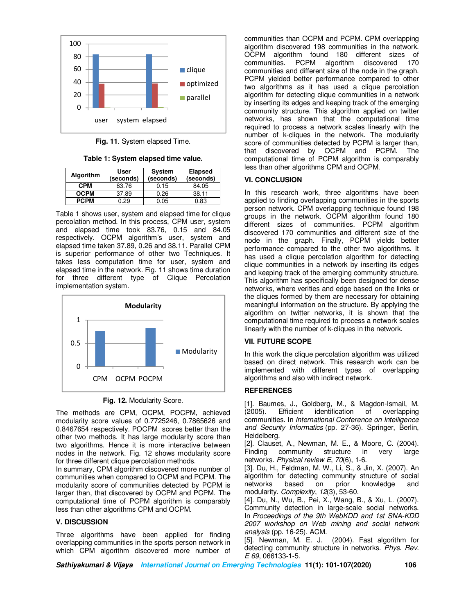

**Fig. 11**. System elapsed Time.

**Table 1: System elapsed time value.** 

| <b>Algorithm</b> | User<br>(seconds) | <b>System</b><br>(seconds) | <b>Elapsed</b><br>(seconds) |
|------------------|-------------------|----------------------------|-----------------------------|
| <b>CPM</b>       | 83.76             | 0.15                       | 84.05                       |
| <b>OCPM</b>      | 37.89             | 0.26                       | 38.11                       |
| <b>PCPM</b>      | በ 29              | 0.05                       | 0.83                        |

Table 1 shows user, system and elapsed time for clique percolation method. In this process, CPM user, system and elapsed time took 83.76, 0.15 and 84.05 respectively. OCPM algorithm's user, system and elapsed time taken 37.89, 0.26 and 38.11. Parallel CPM is superior performance of other two Techniques. It takes less computation time for user, system and elapsed time in the network. Fig. 11 shows time duration for three different type of Clique Percolation implementation system.



**Fig. 12.** Modularity Score.

The methods are CPM, OCPM, POCPM, achieved modularity score values of 0.7725246, 0.7865626 and 0.8467654 respectively. POCPM scores better than the other two methods. It has large modularity score than two algorithms. Hence it is more interactive between nodes in the network. Fig. 12 shows modularity score for three different clique percolation methods.

In summary, CPM algorithm discovered more number of communities when compared to OCPM and PCPM. The modularity score of communities detected by PCPM is larger than, that discovered by OCPM and PCPM. The computational time of PCPM algorithm is comparably less than other algorithms CPM and OCPM.

## **V. DISCUSSION**

Three algorithms have been applied for finding overlapping communities in the sports person network in which CPM algorithm discovered more number of

communities than OCPM and PCPM. CPM overlapping algorithm discovered 198 communities in the network. OCPM algorithm found 180 different sizes of communities. PCPM algorithm discovered 170 communities and different size of the node in the graph. PCPM yielded better performance compared to other two algorithms as it has used a clique percolation algorithm for detecting clique communities in a network by inserting its edges and keeping track of the emerging community structure. This algorithm applied on twitter networks, has shown that the computational time required to process a network scales linearly with the number of k-cliques in the network. The modularity score of communities detected by PCPM is larger than, that discovered by OCPM and PCPM. The computational time of PCPM algorithm is comparably less than other algorithms CPM and OCPM.

#### **VI. CONCLUSION**

In this research work, three algorithms have been applied to finding overlapping communities in the sports person network. CPM overlapping technique found 198 groups in the network. OCPM algorithm found 180 different sizes of communities. PCPM algorithm discovered 170 communities and different size of the node in the graph. Finally, PCPM yields better performance compared to the other two algorithms. It has used a clique percolation algorithm for detecting clique communities in a network by inserting its edges and keeping track of the emerging community structure. This algorithm has specifically been designed for dense networks, where verities and edge based on the links or the cliques formed by them are necessary for obtaining meaningful information on the structure. By applying the algorithm on twitter networks, it is shown that the computational time required to process a network scales linearly with the number of k-cliques in the network.

## **VII. FUTURE SCOPE**

In this work the clique percolation algorithm was utilized based on direct network. This research work can be implemented with different types of overlapping algorithms and also with indirect network.

#### **REFERENCES**

[1]. Baumes, J., Goldberg, M., & Magdon-Ismail, M. (2005). Efficient identification of overlapping communities. In *International Conference on Intelligence and Security Informatics* (pp. 27-36). Springer, Berlin, Heidelberg.

[2]. Clauset, A., Newman, M. E., & Moore, C. (2004). Finding community structure in very large networks. *Physical review E*, *70*(6), 1-6.

[3]. Du, H., Feldman, M. W., Li, S., & Jin, X. (2007). An algorithm for detecting community structure of social on prior knowledge and modularity. *Complexity*, *12*(3), 53-60.

[4]. Du, N., Wu, B., Pei, X., Wang, B., & Xu, L. (2007). Community detection in large-scale social networks. In *Proceedings of the 9th WebKDD and 1st SNA-KDD 2007 workshop on Web mining and social network analysis* (pp. 16-25). ACM.

[5]. Newman, M. E. J. (2004). Fast algorithm for detecting community structure in networks. *Phys. Rev. E 69*, 066133-1-5.